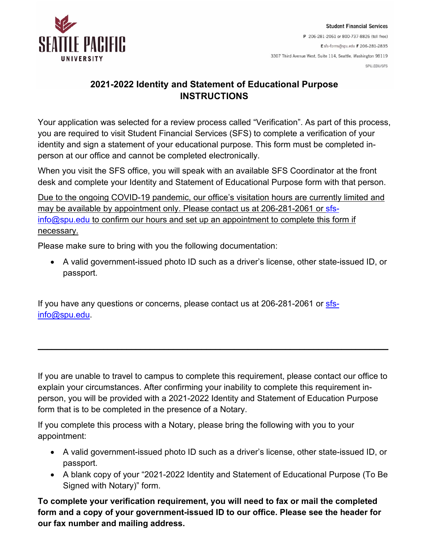

## **2021-2022 Identity and Statement of Educational Purpose INSTRUCTIONS**

Your application was selected for a review process called "Verification". As part of this process, you are required to visit Student Financial Services (SFS) to complete a verification of your identity and sign a statement of your educational purpose. This form must be completed inperson at our office and cannot be completed electronically.

When you visit the SFS office, you will speak with an available SFS Coordinator at the front desk and complete your Identity and Statement of Educational Purpose form with that person.

Due to the ongoing COVID-19 pandemic, our office's visitation hours are currently limited and may be available by appointment only. Please contact us at 206-281-2061 or [sfs](mailto:sfs-info@spu.edu) $info@spu.edu$  to confirm our hours and set up an appointment to complete this form if necessary.

Please make sure to bring with you the following documentation:

• A valid government-issued photo ID such as a driver's license, other state-issued ID, or passport.

If you have any questions or concerns, please contact us at 206-281-2061 or [sfs](mailto:sfs-info@spu.edu)[info@spu.edu.](mailto:sfs-info@spu.edu)

If you are unable to travel to campus to complete this requirement, please contact our office to explain your circumstances. After confirming your inability to complete this requirement inperson, you will be provided with a 2021-2022 Identity and Statement of Education Purpose form that is to be completed in the presence of a Notary.

**\_\_\_\_\_\_\_\_\_\_\_\_\_\_\_\_\_\_\_\_\_\_\_\_\_\_\_\_\_\_\_\_\_\_\_\_\_\_\_\_\_\_\_\_\_\_\_\_\_\_\_\_\_\_\_\_\_\_\_\_\_\_\_\_\_\_\_\_\_\_\_\_\_\_\_**

If you complete this process with a Notary, please bring the following with you to your appointment:

- A valid government-issued photo ID such as a driver's license, other state-issued ID, or passport.
- A blank copy of your "2021-2022 Identity and Statement of Educational Purpose (To Be Signed with Notary)" form.

**To complete your verification requirement, you will need to fax or mail the completed form and a copy of your government-issued ID to our office. Please see the header for our fax number and mailing address.**